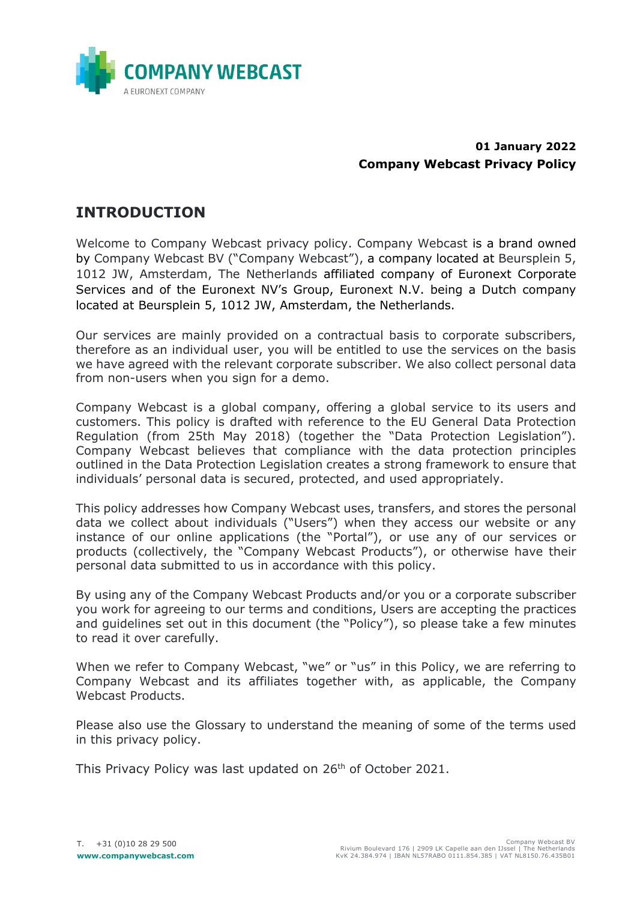

#### **01 January 2022 Company Webcast Privacy Policy**

## <span id="page-0-0"></span>**INTRODUCTION**

Welcome to Company Webcast privacy policy. Company Webcast is a brand owned by Company Webcast BV ("Company Webcast"), a company located at Beursplein 5, 1012 JW, Amsterdam, The Netherlands affiliated company of Euronext Corporate Services and of the Euronext NV's Group, Euronext N.V. being a Dutch company located at Beursplein 5, 1012 JW, Amsterdam, the Netherlands.

Our services are mainly provided on a contractual basis to corporate subscribers, therefore as an individual user, you will be entitled to use the services on the basis we have agreed with the relevant corporate subscriber. We also collect personal data from non-users when you sign for a demo.

Company Webcast is a global company, offering a global service to its users and customers. This policy is drafted with reference to the EU General Data Protection Regulation (from 25th May 2018) (together the "Data Protection Legislation"). Company Webcast believes that compliance with the data protection principles outlined in the Data Protection Legislation creates a strong framework to ensure that individuals' personal data is secured, protected, and used appropriately.

This policy addresses how Company Webcast uses, transfers, and stores the personal data we collect about individuals ("Users") when they access our website or any instance of our online applications (the "Portal"), or use any of our services or products (collectively, the "Company Webcast Products"), or otherwise have their personal data submitted to us in accordance with this policy.

By using any of the Company Webcast Products and/or you or a corporate subscriber you work for agreeing to our terms and conditions, Users are accepting the practices and guidelines set out in this document (the "Policy"), so please take a few minutes to read it over carefully.

When we refer to Company Webcast, "we" or "us" in this Policy, we are referring to Company Webcast and its affiliates together with, as applicable, the Company Webcast Products.

Please also use the Glossary to understand the meaning of some of the terms used in this privacy policy.

This Privacy Policy was last updated on 26<sup>th</sup> of October 2021.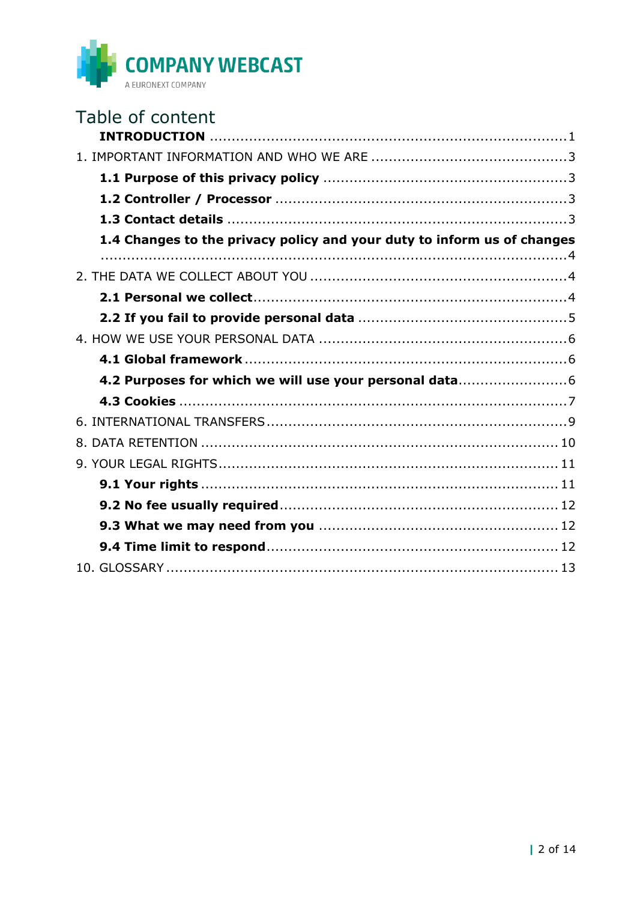

| Table of content                                                        |  |
|-------------------------------------------------------------------------|--|
|                                                                         |  |
|                                                                         |  |
|                                                                         |  |
|                                                                         |  |
|                                                                         |  |
| 1.4 Changes to the privacy policy and your duty to inform us of changes |  |
|                                                                         |  |
|                                                                         |  |
|                                                                         |  |
|                                                                         |  |
|                                                                         |  |
|                                                                         |  |
| 4.2 Purposes for which we will use your personal data                   |  |
|                                                                         |  |
|                                                                         |  |
|                                                                         |  |
|                                                                         |  |
|                                                                         |  |
|                                                                         |  |
|                                                                         |  |
|                                                                         |  |
|                                                                         |  |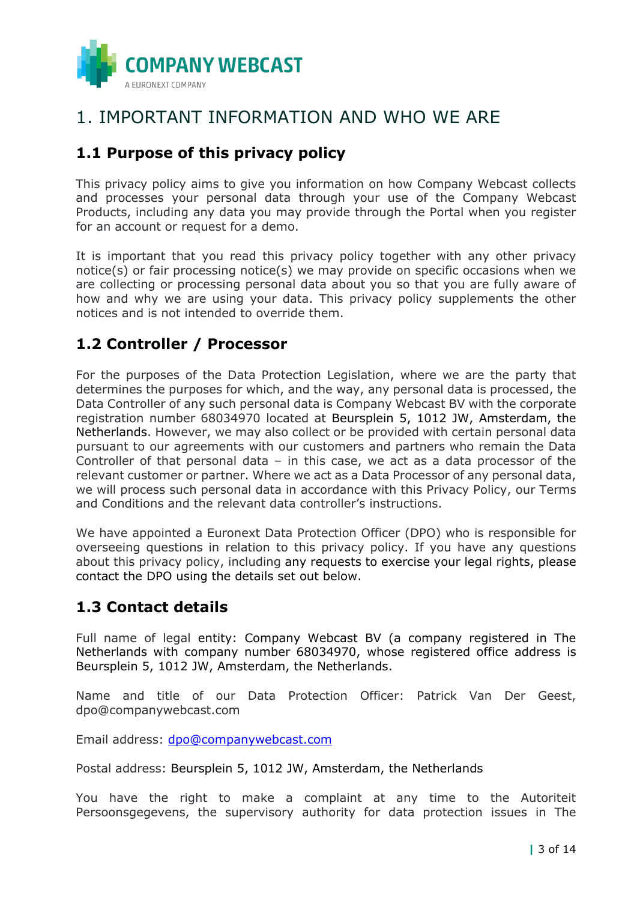

## <span id="page-2-0"></span>1. IMPORTANT INFORMATION AND WHO WE ARE

## <span id="page-2-1"></span>**1.1 Purpose of this privacy policy**

This privacy policy aims to give you information on how Company Webcast collects and processes your personal data through your use of the Company Webcast Products, including any data you may provide through the Portal when you register for an account or request for a demo.

It is important that you read this privacy policy together with any other privacy notice(s) or fair processing notice(s) we may provide on specific occasions when we are collecting or processing personal data about you so that you are fully aware of how and why we are using your data. This privacy policy supplements the other notices and is not intended to override them.

## <span id="page-2-2"></span>**1.2 Controller / Processor**

For the purposes of the Data Protection Legislation, where we are the party that determines the purposes for which, and the way, any personal data is processed, the Data Controller of any such personal data is Company Webcast BV with the corporate registration number 68034970 located at Beursplein 5, 1012 JW, Amsterdam, the Netherlands. However, we may also collect or be provided with certain personal data pursuant to our agreements with our customers and partners who remain the Data Controller of that personal data – in this case, we act as a data processor of the relevant customer or partner. Where we act as a Data Processor of any personal data, we will process such personal data in accordance with this Privacy Policy, our Terms and Conditions and the relevant data controller's instructions.

We have appointed a Euronext Data Protection Officer (DPO) who is responsible for overseeing questions in relation to this privacy policy. If you have any questions about this privacy policy, including any requests to exercise your legal rights, please contact the DPO using the details set out below.

### <span id="page-2-3"></span>**1.3 Contact details**

Full name of legal entity: Company Webcast BV (a company registered in The Netherlands with company number 68034970, whose registered office address is Beursplein 5, 1012 JW, Amsterdam, the Netherlands.

Name and title of our Data Protection Officer: Patrick Van Der Geest, dpo@companywebcast.com

Email address: [dpo@companywebcast.com](mailto:dpo@companywebcast.com)

Postal address: Beursplein 5, 1012 JW, Amsterdam, the Netherlands

You have the right to make a complaint at any time to the Autoriteit Persoonsgegevens, the supervisory authority for data protection issues in The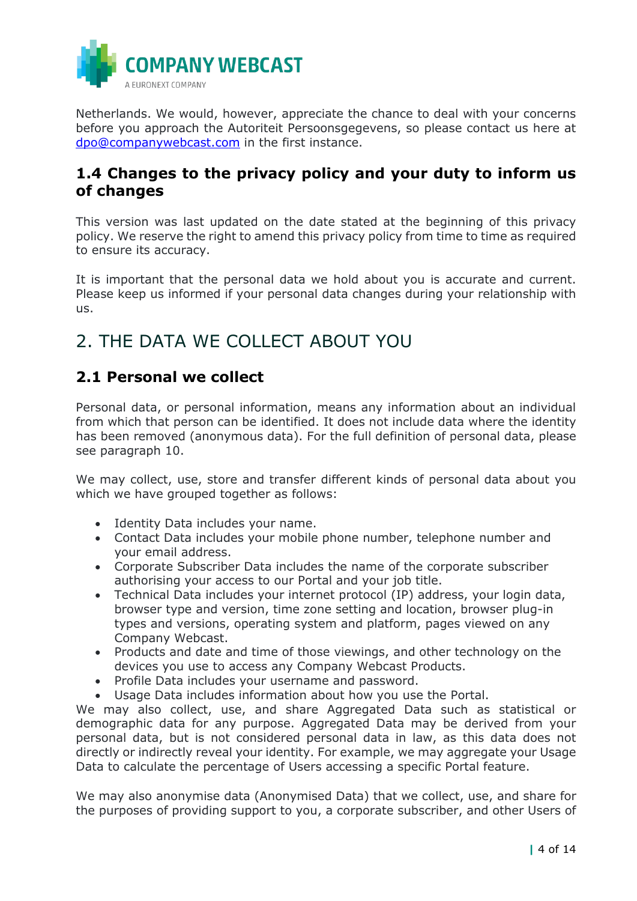

Netherlands. We would, however, appreciate the chance to deal with your concerns before you approach the Autoriteit Persoonsgegevens, so please contact us here at [dpo@companywebcast.com](mailto:dpo@companywebcast.com) in the first instance.

### <span id="page-3-0"></span>**1.4 Changes to the privacy policy and your duty to inform us of changes**

This version was last updated on the date stated at the beginning of this privacy policy. We reserve the right to amend this privacy policy from time to time as required to ensure its accuracy.

It is important that the personal data we hold about you is accurate and current. Please keep us informed if your personal data changes during your relationship with us.

# <span id="page-3-1"></span>2. THE DATA WE COLLECT ABOUT YOU

## <span id="page-3-2"></span>**2.1 Personal we collect**

Personal data, or personal information, means any information about an individual from which that person can be identified. It does not include data where the identity has been removed (anonymous data). For the full definition of personal data, please see paragraph 10.

We may collect, use, store and transfer different kinds of personal data about you which we have grouped together as follows:

- Identity Data includes your name.
- Contact Data includes your mobile phone number, telephone number and your email address.
- Corporate Subscriber Data includes the name of the corporate subscriber authorising your access to our Portal and your job title.
- Technical Data includes your internet protocol (IP) address, your login data, browser type and version, time zone setting and location, browser plug-in types and versions, operating system and platform, pages viewed on any Company Webcast.
- Products and date and time of those viewings, and other technology on the devices you use to access any Company Webcast Products.
- Profile Data includes your username and password.
- Usage Data includes information about how you use the Portal.

We may also collect, use, and share Aggregated Data such as statistical or demographic data for any purpose. Aggregated Data may be derived from your personal data, but is not considered personal data in law, as this data does not directly or indirectly reveal your identity. For example, we may aggregate your Usage Data to calculate the percentage of Users accessing a specific Portal feature.

We may also anonymise data (Anonymised Data) that we collect, use, and share for the purposes of providing support to you, a corporate subscriber, and other Users of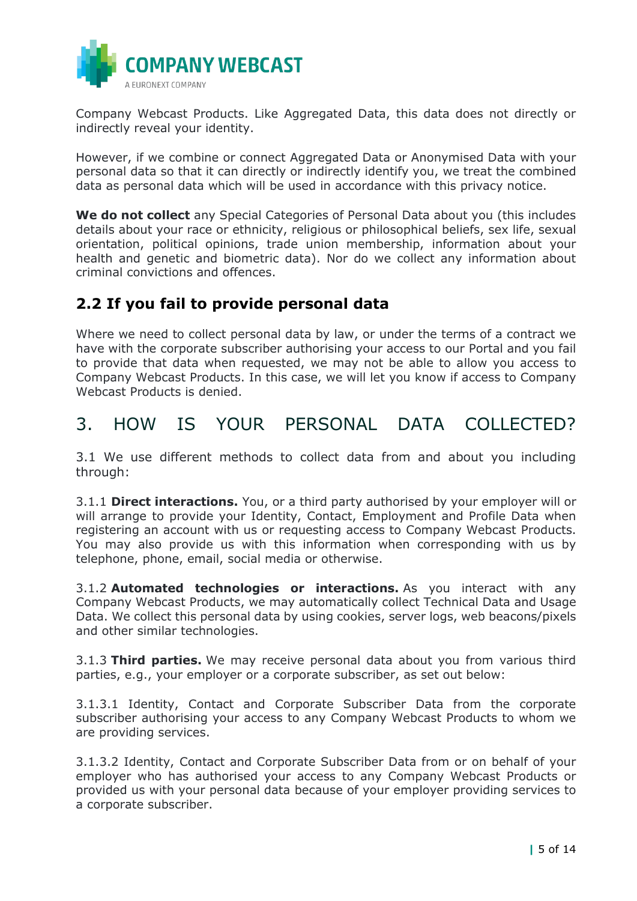

Company Webcast Products. Like Aggregated Data, this data does not directly or indirectly reveal your identity.

However, if we combine or connect Aggregated Data or Anonymised Data with your personal data so that it can directly or indirectly identify you, we treat the combined data as personal data which will be used in accordance with this privacy notice.

**We do not collect** any Special Categories of Personal Data about you (this includes details about your race or ethnicity, religious or philosophical beliefs, sex life, sexual orientation, political opinions, trade union membership, information about your health and genetic and biometric data). Nor do we collect any information about criminal convictions and offences.

## <span id="page-4-0"></span>**2.2 If you fail to provide personal data**

Where we need to collect personal data by law, or under the terms of a contract we have with the corporate subscriber authorising your access to our Portal and you fail to provide that data when requested, we may not be able to allow you access to Company Webcast Products. In this case, we will let you know if access to Company Webcast Products is denied.

## 3. HOW IS YOUR PERSONAL DATA COLLECTED?

3.1 We use different methods to collect data from and about you including through:

3.1.1 **Direct interactions.** You, or a third party authorised by your employer will or will arrange to provide your Identity, Contact, Employment and Profile Data when registering an account with us or requesting access to Company Webcast Products. You may also provide us with this information when corresponding with us by telephone, phone, email, social media or otherwise.

3.1.2 **Automated technologies or interactions.** As you interact with any Company Webcast Products, we may automatically collect Technical Data and Usage Data. We collect this personal data by using cookies, server logs, web beacons/pixels and other similar technologies.

3.1.3 **Third parties.** We may receive personal data about you from various third parties, e.g., your employer or a corporate subscriber, as set out below:

3.1.3.1 Identity, Contact and Corporate Subscriber Data from the corporate subscriber authorising your access to any Company Webcast Products to whom we are providing services.

3.1.3.2 Identity, Contact and Corporate Subscriber Data from or on behalf of your employer who has authorised your access to any Company Webcast Products or provided us with your personal data because of your employer providing services to a corporate subscriber.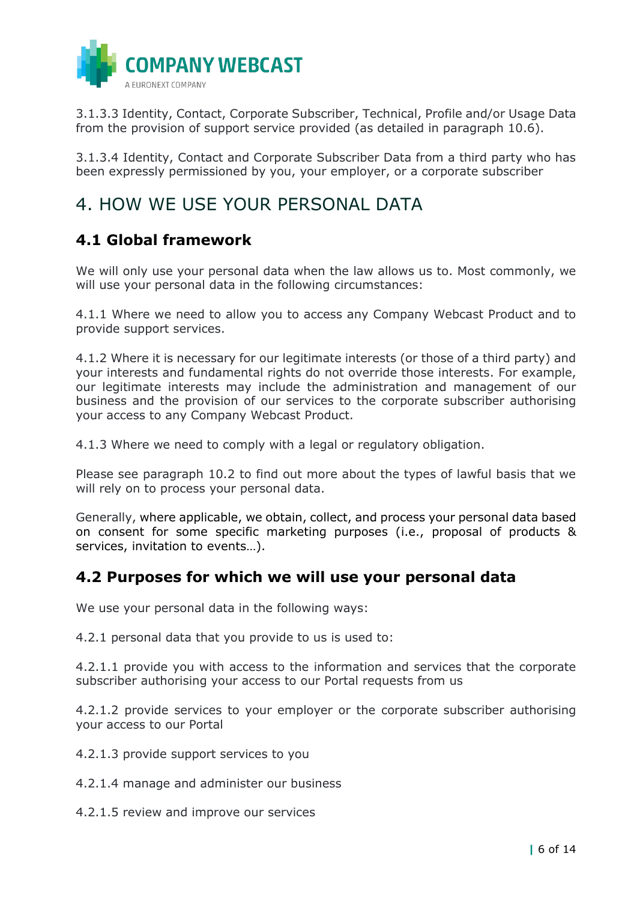

3.1.3.3 Identity, Contact, Corporate Subscriber, Technical, Profile and/or Usage Data from the provision of support service provided (as detailed in paragraph 10.6).

3.1.3.4 Identity, Contact and Corporate Subscriber Data from a third party who has been expressly permissioned by you, your employer, or a corporate subscriber

## <span id="page-5-0"></span>4. HOW WE USE YOUR PERSONAL DATA

## <span id="page-5-1"></span>**4.1 Global framework**

We will only use your personal data when the law allows us to. Most commonly, we will use your personal data in the following circumstances:

4.1.1 Where we need to allow you to access any Company Webcast Product and to provide support services.

4.1.2 Where it is necessary for our legitimate interests (or those of a third party) and your interests and fundamental rights do not override those interests. For example, our legitimate interests may include the administration and management of our business and the provision of our services to the corporate subscriber authorising your access to any Company Webcast Product.

4.1.3 Where we need to comply with a legal or regulatory obligation.

Please see paragraph 10.2 to find out more about the types of lawful basis that we will rely on to process your personal data.

Generally, where applicable, we obtain, collect, and process your personal data based on consent for some specific marketing purposes (i.e., proposal of products & services, invitation to events…).

### <span id="page-5-2"></span>**4.2 Purposes for which we will use your personal data**

We use your personal data in the following ways:

4.2.1 personal data that you provide to us is used to:

4.2.1.1 provide you with access to the information and services that the corporate subscriber authorising your access to our Portal requests from us

4.2.1.2 provide services to your employer or the corporate subscriber authorising your access to our Portal

4.2.1.3 provide support services to you

- 4.2.1.4 manage and administer our business
- 4.2.1.5 review and improve our services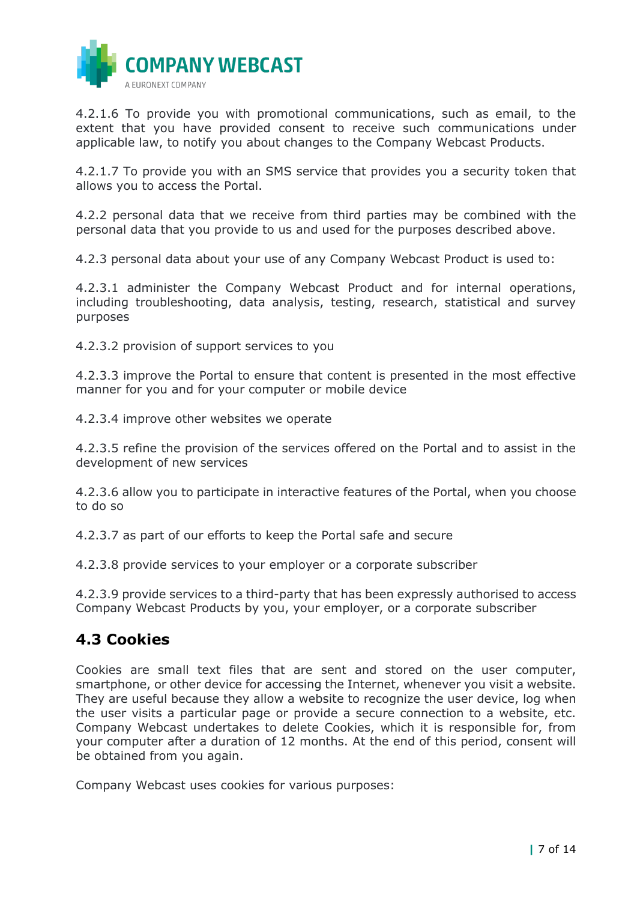

4.2.1.6 To provide you with promotional communications, such as email, to the extent that you have provided consent to receive such communications under applicable law, to notify you about changes to the Company Webcast Products.

4.2.1.7 To provide you with an SMS service that provides you a security token that allows you to access the Portal.

4.2.2 personal data that we receive from third parties may be combined with the personal data that you provide to us and used for the purposes described above.

4.2.3 personal data about your use of any Company Webcast Product is used to:

4.2.3.1 administer the Company Webcast Product and for internal operations, including troubleshooting, data analysis, testing, research, statistical and survey purposes

4.2.3.2 provision of support services to you

4.2.3.3 improve the Portal to ensure that content is presented in the most effective manner for you and for your computer or mobile device

4.2.3.4 improve other websites we operate

4.2.3.5 refine the provision of the services offered on the Portal and to assist in the development of new services

4.2.3.6 allow you to participate in interactive features of the Portal, when you choose to do so

4.2.3.7 as part of our efforts to keep the Portal safe and secure

4.2.3.8 provide services to your employer or a corporate subscriber

4.2.3.9 provide services to a third-party that has been expressly authorised to access Company Webcast Products by you, your employer, or a corporate subscriber

#### <span id="page-6-0"></span>**4.3 Cookies**

Cookies are small text files that are sent and stored on the user computer, smartphone, or other device for accessing the Internet, whenever you visit a website. They are useful because they allow a website to recognize the user device, log when the user visits a particular page or provide a secure connection to a website, etc. Company Webcast undertakes to delete Cookies, which it is responsible for, from your computer after a duration of 12 months. At the end of this period, consent will be obtained from you again.

Company Webcast uses cookies for various purposes: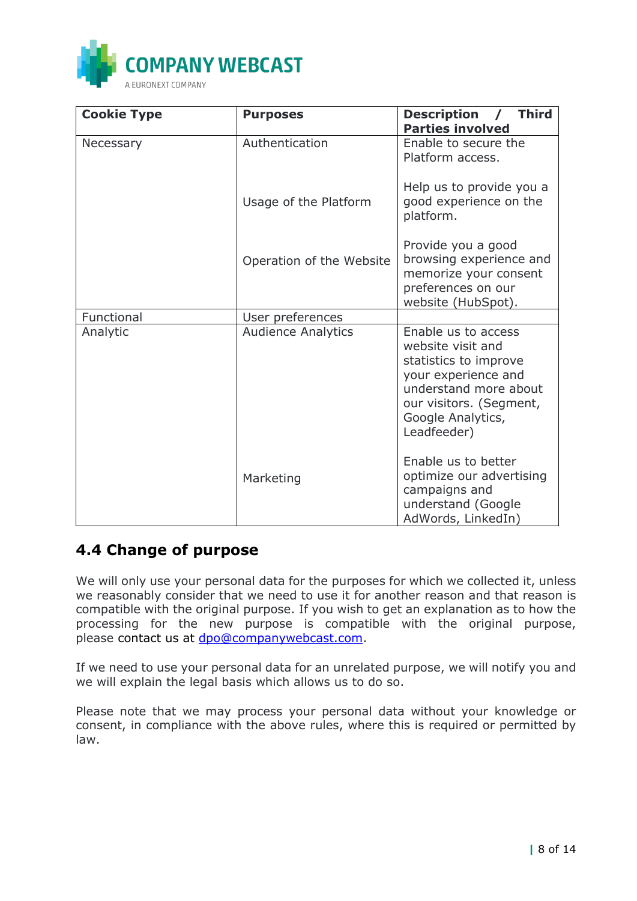

| <b>Cookie Type</b> | <b>Purposes</b>           | <b>Third</b><br><b>Description</b><br><b>Parties involved</b>                                                                                                                    |
|--------------------|---------------------------|----------------------------------------------------------------------------------------------------------------------------------------------------------------------------------|
| Necessary          | Authentication            | Enable to secure the<br>Platform access.                                                                                                                                         |
|                    | Usage of the Platform     | Help us to provide you a<br>good experience on the<br>platform.                                                                                                                  |
|                    | Operation of the Website  | Provide you a good<br>browsing experience and<br>memorize your consent<br>preferences on our<br>website (HubSpot).                                                               |
| Functional         | User preferences          |                                                                                                                                                                                  |
| Analytic           | <b>Audience Analytics</b> | Enable us to access<br>website visit and<br>statistics to improve<br>your experience and<br>understand more about<br>our visitors. (Segment,<br>Google Analytics,<br>Leadfeeder) |
|                    | Marketing                 | Enable us to better<br>optimize our advertising<br>campaigns and<br>understand (Google<br>AdWords, LinkedIn)                                                                     |

### **4.4 Change of purpose**

We will only use your personal data for the purposes for which we collected it, unless we reasonably consider that we need to use it for another reason and that reason is compatible with the original purpose. If you wish to get an explanation as to how the processing for the new purpose is compatible with the original purpose, please contact us at [dpo@companywebcast.com.](mailto:dpo@companywebcast.com)

If we need to use your personal data for an unrelated purpose, we will notify you and we will explain the legal basis which allows us to do so.

Please note that we may process your personal data without your knowledge or consent, in compliance with the above rules, where this is required or permitted by law.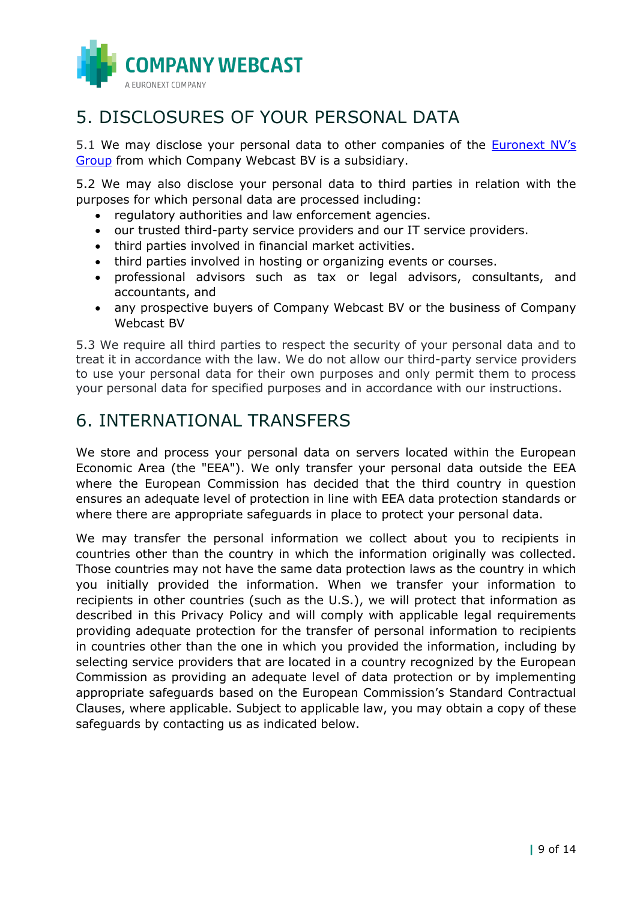

# 5. DISCLOSURES OF YOUR PERSONAL DATA

5.1 We may disclose your personal data to other companies of the **[Euronext NV's](https://www.euronext.com/en/privacy-statement)** [Group](https://www.euronext.com/en/privacy-statement) from which Company Webcast BV is a subsidiary.

5.2 We may also disclose your personal data to third parties in relation with the purposes for which personal data are processed including:

- regulatory authorities and law enforcement agencies.
- our trusted third-party service providers and our IT service providers.
- third parties involved in financial market activities.
- third parties involved in hosting or organizing events or courses.
- professional advisors such as tax or legal advisors, consultants, and accountants, and
- any prospective buyers of Company Webcast BV or the business of Company Webcast BV

5.3 We require all third parties to respect the security of your personal data and to treat it in accordance with the law. We do not allow our third-party service providers to use your personal data for their own purposes and only permit them to process your personal data for specified purposes and in accordance with our instructions.

## <span id="page-8-0"></span>6. INTERNATIONAL TRANSFERS

We store and process your personal data on servers located within the European Economic Area (the "EEA"). We only transfer your personal data outside the EEA where the European Commission has decided that the third country in question ensures an adequate level of protection in line with EEA data protection standards or where there are appropriate safeguards in place to protect your personal data.

We may transfer the personal information we collect about you to recipients in countries other than the country in which the information originally was collected. Those countries may not have the same data protection laws as the country in which you initially provided the information. When we transfer your information to recipients in other countries (such as the U.S.), we will protect that information as described in this Privacy Policy and will comply with applicable legal requirements providing adequate protection for the transfer of personal information to recipients in countries other than the one in which you provided the information, including by selecting service providers that are located in a country recognized by the European Commission as providing an adequate level of data protection or by implementing appropriate safeguards based on the European Commission's Standard Contractual Clauses, where applicable. Subject to applicable law, you may obtain a copy of these safeguards by contacting us as indicated below.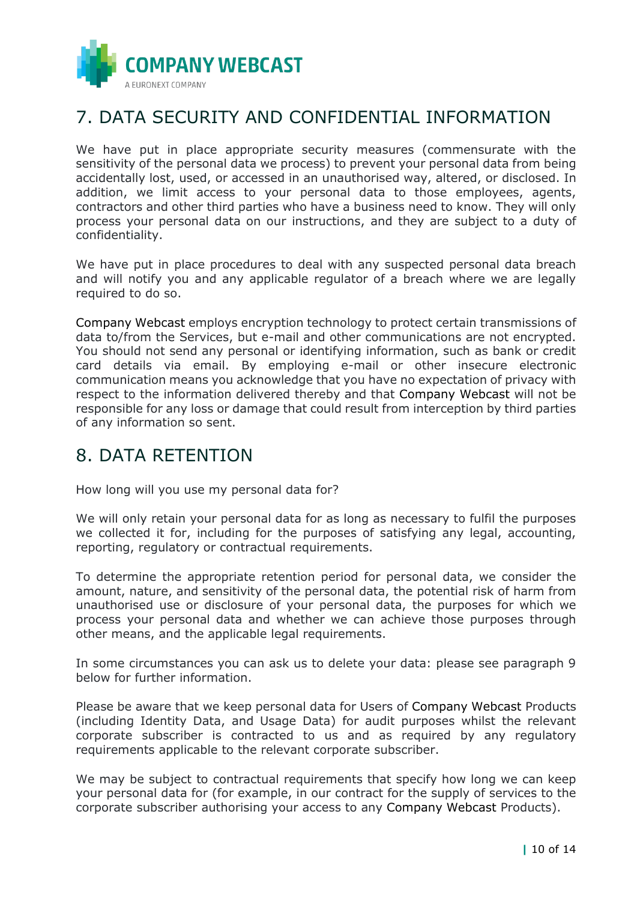

## 7. DATA SECURITY AND CONFIDENTIAL INFORMATION

We have put in place appropriate security measures (commensurate with the sensitivity of the personal data we process) to prevent your personal data from being accidentally lost, used, or accessed in an unauthorised way, altered, or disclosed. In addition, we limit access to your personal data to those employees, agents, contractors and other third parties who have a business need to know. They will only process your personal data on our instructions, and they are subject to a duty of confidentiality.

We have put in place procedures to deal with any suspected personal data breach and will notify you and any applicable regulator of a breach where we are legally required to do so.

Company Webcast employs encryption technology to protect certain transmissions of data to/from the Services, but e-mail and other communications are not encrypted. You should not send any personal or identifying information, such as bank or credit card details via email. By employing e-mail or other insecure electronic communication means you acknowledge that you have no expectation of privacy with respect to the information delivered thereby and that Company Webcast will not be responsible for any loss or damage that could result from interception by third parties of any information so sent.

## <span id="page-9-0"></span>8. DATA RETENTION

How long will you use my personal data for?

We will only retain your personal data for as long as necessary to fulfil the purposes we collected it for, including for the purposes of satisfying any legal, accounting, reporting, regulatory or contractual requirements.

To determine the appropriate retention period for personal data, we consider the amount, nature, and sensitivity of the personal data, the potential risk of harm from unauthorised use or disclosure of your personal data, the purposes for which we process your personal data and whether we can achieve those purposes through other means, and the applicable legal requirements.

In some circumstances you can ask us to delete your data: please see paragraph 9 below for further information.

Please be aware that we keep personal data for Users of Company Webcast Products (including Identity Data, and Usage Data) for audit purposes whilst the relevant corporate subscriber is contracted to us and as required by any regulatory requirements applicable to the relevant corporate subscriber.

We may be subject to contractual requirements that specify how long we can keep your personal data for (for example, in our contract for the supply of services to the corporate subscriber authorising your access to any Company Webcast Products).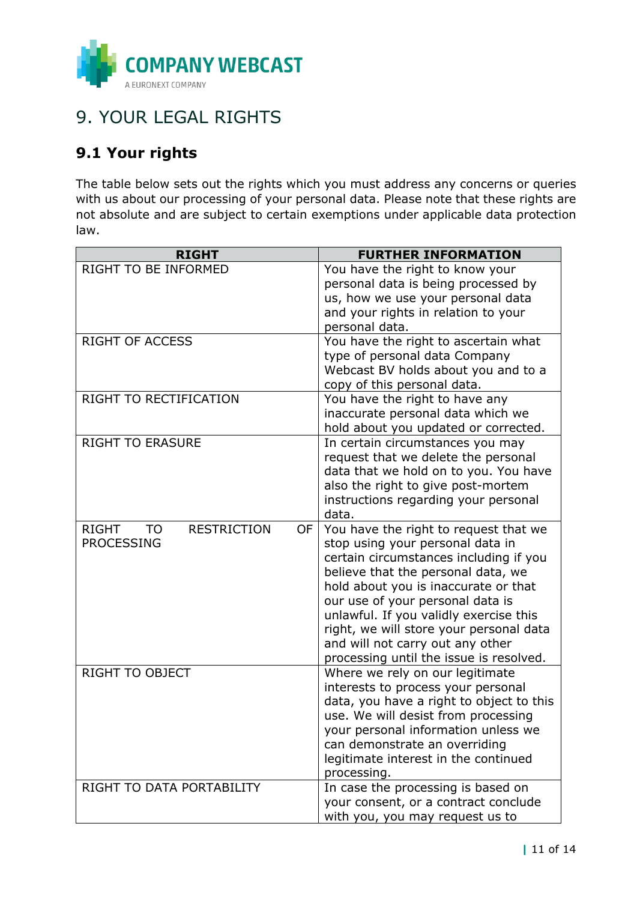

# <span id="page-10-0"></span>9. YOUR LEGAL RIGHTS

## <span id="page-10-1"></span>**9.1 Your rights**

The table below sets out the rights which you must address any concerns or queries with us about our processing of your personal data. Please note that these rights are not absolute and are subject to certain exemptions under applicable data protection law.

| <b>RIGHT</b>                                   | <b>FURTHER INFORMATION</b>                                                 |
|------------------------------------------------|----------------------------------------------------------------------------|
| RIGHT TO BE INFORMED                           | You have the right to know your                                            |
|                                                | personal data is being processed by                                        |
|                                                | us, how we use your personal data                                          |
|                                                | and your rights in relation to your                                        |
|                                                | personal data.                                                             |
| <b>RIGHT OF ACCESS</b>                         | You have the right to ascertain what                                       |
|                                                | type of personal data Company                                              |
|                                                | Webcast BV holds about you and to a                                        |
|                                                | copy of this personal data.                                                |
| RIGHT TO RECTIFICATION                         | You have the right to have any                                             |
|                                                | inaccurate personal data which we                                          |
|                                                | hold about you updated or corrected.                                       |
| <b>RIGHT TO ERASURE</b>                        | In certain circumstances you may                                           |
|                                                | request that we delete the personal                                        |
|                                                | data that we hold on to you. You have                                      |
|                                                | also the right to give post-mortem                                         |
|                                                | instructions regarding your personal                                       |
| <b>RESTRICTION</b>                             | data.                                                                      |
| <b>RIGHT</b><br>OF.<br>TO<br><b>PROCESSING</b> | You have the right to request that we                                      |
|                                                | stop using your personal data in<br>certain circumstances including if you |
|                                                | believe that the personal data, we                                         |
|                                                | hold about you is inaccurate or that                                       |
|                                                | our use of your personal data is                                           |
|                                                | unlawful. If you validly exercise this                                     |
|                                                | right, we will store your personal data                                    |
|                                                | and will not carry out any other                                           |
|                                                | processing until the issue is resolved.                                    |
| <b>RIGHT TO OBJECT</b>                         | Where we rely on our legitimate                                            |
|                                                | interests to process your personal                                         |
|                                                | data, you have a right to object to this                                   |
|                                                | use. We will desist from processing                                        |
|                                                | your personal information unless we                                        |
|                                                | can demonstrate an overriding                                              |
|                                                | legitimate interest in the continued                                       |
|                                                | processing.                                                                |
| RIGHT TO DATA PORTABILITY                      | In case the processing is based on                                         |
|                                                | your consent, or a contract conclude                                       |
|                                                | with you, you may request us to                                            |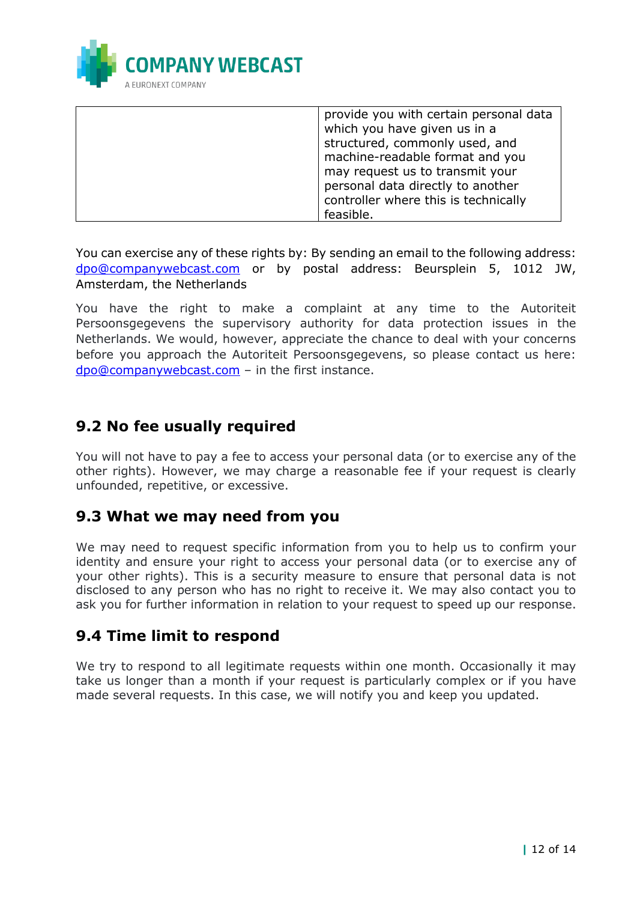

| provide you with certain personal data |
|----------------------------------------|
| which you have given us in a           |
| structured, commonly used, and         |
| machine-readable format and you        |
| may request us to transmit your        |
| personal data directly to another      |
| controller where this is technically   |
| feasible.                              |

You can exercise any of these rights by: By sending an email to the following address: [dpo@companywebcast.com](mailto:dpo@companywebcast.com) or by postal address: Beursplein 5, 1012 JW, Amsterdam, the Netherlands

You have the right to make a complaint at any time to the Autoriteit Persoonsgegevens the supervisory authority for data protection issues in the Netherlands. We would, however, appreciate the chance to deal with your concerns before you approach the Autoriteit Persoonsgegevens, so please contact us here: [dpo@companywebcast.com](mailto:dpo@companywebcast.com) – in the first instance.

## <span id="page-11-0"></span>**9.2 No fee usually required**

You will not have to pay a fee to access your personal data (or to exercise any of the other rights). However, we may charge a reasonable fee if your request is clearly unfounded, repetitive, or excessive.

### <span id="page-11-1"></span>**9.3 What we may need from you**

We may need to request specific information from you to help us to confirm your identity and ensure your right to access your personal data (or to exercise any of your other rights). This is a security measure to ensure that personal data is not disclosed to any person who has no right to receive it. We may also contact you to ask you for further information in relation to your request to speed up our response.

### <span id="page-11-2"></span>**9.4 Time limit to respond**

We try to respond to all legitimate requests within one month. Occasionally it may take us longer than a month if your request is particularly complex or if you have made several requests. In this case, we will notify you and keep you updated.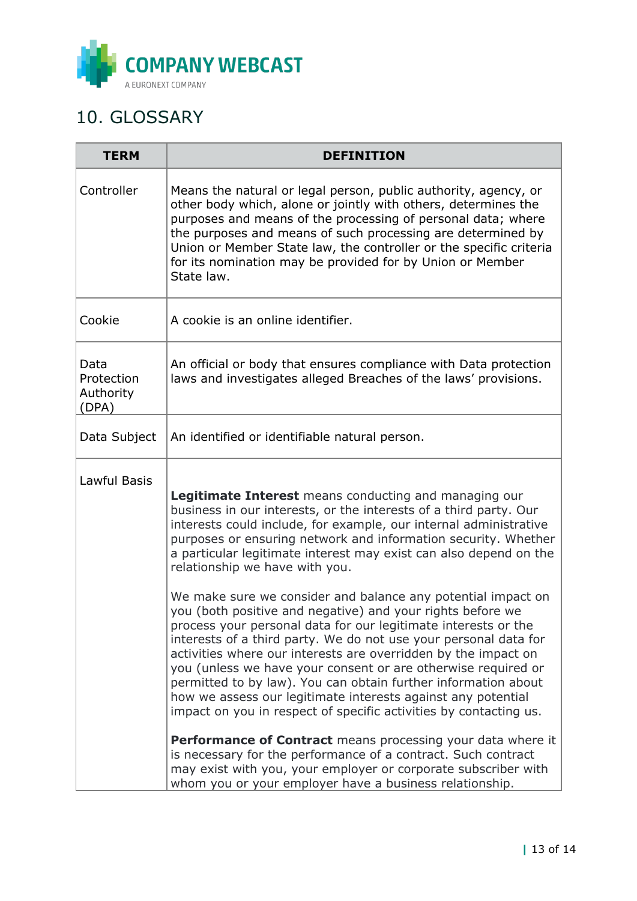

# <span id="page-12-0"></span>10. GLOSSARY

| <b>TERM</b>                              | <b>DEFINITION</b>                                                                                                                                                                                                                                                                                                                                                                                                                                                                                                                                                                                                                                                                                                                                                                                                                                                                                                                                                                             |
|------------------------------------------|-----------------------------------------------------------------------------------------------------------------------------------------------------------------------------------------------------------------------------------------------------------------------------------------------------------------------------------------------------------------------------------------------------------------------------------------------------------------------------------------------------------------------------------------------------------------------------------------------------------------------------------------------------------------------------------------------------------------------------------------------------------------------------------------------------------------------------------------------------------------------------------------------------------------------------------------------------------------------------------------------|
| Controller                               | Means the natural or legal person, public authority, agency, or<br>other body which, alone or jointly with others, determines the<br>purposes and means of the processing of personal data; where<br>the purposes and means of such processing are determined by<br>Union or Member State law, the controller or the specific criteria<br>for its nomination may be provided for by Union or Member<br>State law.                                                                                                                                                                                                                                                                                                                                                                                                                                                                                                                                                                             |
| Cookie                                   | A cookie is an online identifier.                                                                                                                                                                                                                                                                                                                                                                                                                                                                                                                                                                                                                                                                                                                                                                                                                                                                                                                                                             |
| Data<br>Protection<br>Authority<br>(DPA) | An official or body that ensures compliance with Data protection<br>laws and investigates alleged Breaches of the laws' provisions.                                                                                                                                                                                                                                                                                                                                                                                                                                                                                                                                                                                                                                                                                                                                                                                                                                                           |
| Data Subject                             | An identified or identifiable natural person.                                                                                                                                                                                                                                                                                                                                                                                                                                                                                                                                                                                                                                                                                                                                                                                                                                                                                                                                                 |
| Lawful Basis                             | <b>Legitimate Interest</b> means conducting and managing our<br>business in our interests, or the interests of a third party. Our<br>interests could include, for example, our internal administrative<br>purposes or ensuring network and information security. Whether<br>a particular legitimate interest may exist can also depend on the<br>relationship we have with you.<br>We make sure we consider and balance any potential impact on<br>you (both positive and negative) and your rights before we<br>process your personal data for our legitimate interests or the<br>interests of a third party. We do not use your personal data for<br>activities where our interests are overridden by the impact on<br>you (unless we have your consent or are otherwise required or<br>permitted to by law). You can obtain further information about<br>how we assess our legitimate interests against any potential<br>impact on you in respect of specific activities by contacting us. |
|                                          | <b>Performance of Contract</b> means processing your data where it<br>is necessary for the performance of a contract. Such contract<br>may exist with you, your employer or corporate subscriber with<br>whom you or your employer have a business relationship.                                                                                                                                                                                                                                                                                                                                                                                                                                                                                                                                                                                                                                                                                                                              |